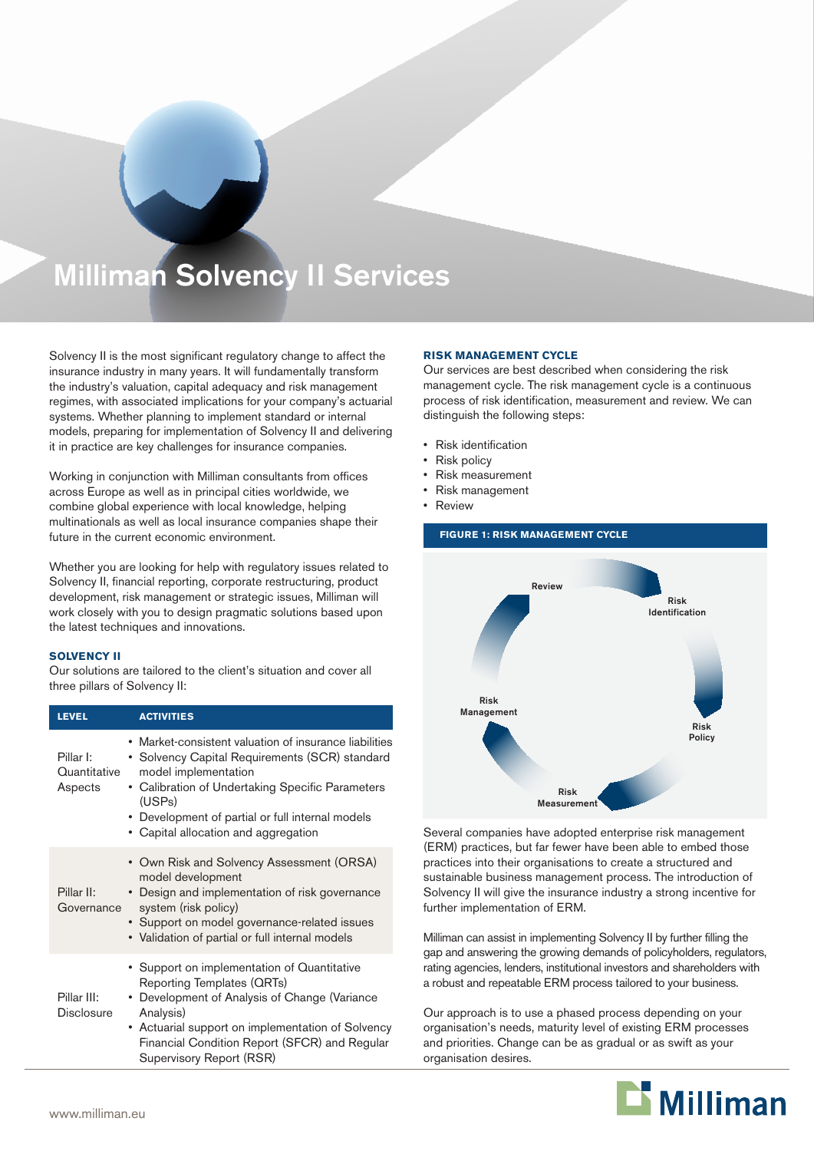# Milliman Solvency II Services

Solvency II is the most significant regulatory change to affect the insurance industry in many years. It will fundamentally transform the industry's valuation, capital adequacy and risk management regimes, with associated implications for your company's actuarial systems. Whether planning to implement standard or internal models, preparing for implementation of Solvency II and delivering it in practice are key challenges for insurance companies.

Working in conjunction with Milliman consultants from offices across Europe as well as in principal cities worldwide, we combine global experience with local knowledge, helping multinationals as well as local insurance companies shape their future in the current economic environment.

Whether you are looking for help with regulatory issues related to Solvency II, financial reporting, corporate restructuring, product development, risk management or strategic issues, Milliman will work closely with you to design pragmatic solutions based upon the latest techniques and innovations.

#### **SOLVENCY II**

Our solutions are tailored to the client's situation and cover all three pillars of Solvency II:

| <b>LEVEL</b>                         | <b>ACTIVITIES</b>                                                                                                                                                                                                                                                                          |
|--------------------------------------|--------------------------------------------------------------------------------------------------------------------------------------------------------------------------------------------------------------------------------------------------------------------------------------------|
| Pillar I:<br>Quantitative<br>Aspects | • Market-consistent valuation of insurance liabilities<br>• Solvency Capital Requirements (SCR) standard<br>model implementation<br>• Calibration of Undertaking Specific Parameters<br>(USPs)<br>• Development of partial or full internal models<br>• Capital allocation and aggregation |
| Pillar II:<br>Governance             | • Own Risk and Solvency Assessment (ORSA)<br>model development<br>• Design and implementation of risk governance<br>system (risk policy)<br>• Support on model governance-related issues<br>• Validation of partial or full internal models                                                |
| Pillar III:<br><b>Disclosure</b>     | • Support on implementation of Quantitative<br>Reporting Templates (QRTs)<br>• Development of Analysis of Change (Variance<br>Analysis)<br>• Actuarial support on implementation of Solvency<br>Financial Condition Report (SFCR) and Regular<br>Supervisory Report (RSR)                  |

#### **RISK MANAGEMENT CYCLE**

Our services are best described when considering the risk management cycle. The risk management cycle is a continuous process of risk identification, measurement and review. We can distinguish the following steps:

- • Risk identification
- **Risk policy**
- **Risk measurement**
- Risk management
- **Review**



Several companies have adopted enterprise risk management (ERM) practices, but far fewer have been able to embed those practices into their organisations to create a structured and sustainable business management process. The introduction of Solvency II will give the insurance industry a strong incentive for further implementation of ERM.

Milliman can assist in implementing Solvency II by further filling the gap and answering the growing demands of policyholders, regulators, rating agencies, lenders, institutional investors and shareholders with a robust and repeatable ERM process tailored to your business.

Our approach is to use a phased process depending on your organisation's needs, maturity level of existing ERM processes and priorities. Change can be as gradual or as swift as your organisation desires.

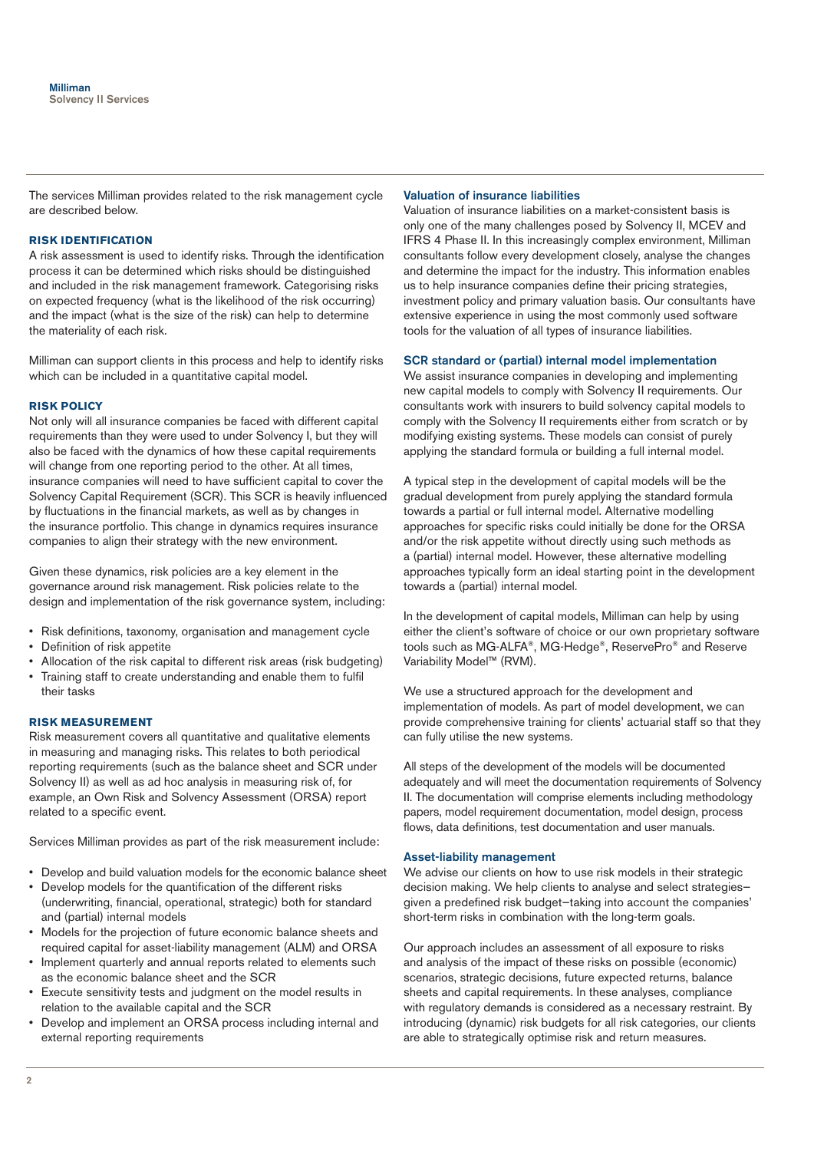The services Milliman provides related to the risk management cycle are described below.

#### **RISK IDENTIFICATION**

A risk assessment is used to identify risks. Through the identification process it can be determined which risks should be distinguished and included in the risk management framework. Categorising risks on expected frequency (what is the likelihood of the risk occurring) and the impact (what is the size of the risk) can help to determine the materiality of each risk.

Milliman can support clients in this process and help to identify risks which can be included in a quantitative capital model.

#### **RISK POLICY**

Not only will all insurance companies be faced with different capital requirements than they were used to under Solvency I, but they will also be faced with the dynamics of how these capital requirements will change from one reporting period to the other. At all times, insurance companies will need to have sufficient capital to cover the Solvency Capital Requirement (SCR). This SCR is heavily influenced by fluctuations in the financial markets, as well as by changes in the insurance portfolio. This change in dynamics requires insurance companies to align their strategy with the new environment.

Given these dynamics, risk policies are a key element in the governance around risk management. Risk policies relate to the design and implementation of the risk governance system, including:

- • Risk definitions, taxonomy, organisation and management cycle
- • Definition of risk appetite
- • Allocation of the risk capital to different risk areas (risk budgeting)
- Training staff to create understanding and enable them to fulfil their tasks

#### **RISK MEASUREMENT**

Risk measurement covers all quantitative and qualitative elements in measuring and managing risks. This relates to both periodical reporting requirements (such as the balance sheet and SCR under Solvency II) as well as ad hoc analysis in measuring risk of, for example, an Own Risk and Solvency Assessment (ORSA) report related to a specific event.

Services Milliman provides as part of the risk measurement include:

- • Develop and build valuation models for the economic balance sheet
- Develop models for the quantification of the different risks (underwriting, financial, operational, strategic) both for standard and (partial) internal models
- Models for the projection of future economic balance sheets and required capital for asset-liability management (ALM) and ORSA
- • Implement quarterly and annual reports related to elements such as the economic balance sheet and the SCR
- • Execute sensitivity tests and judgment on the model results in relation to the available capital and the SCR
- • Develop and implement an ORSA process including internal and external reporting requirements

# Valuation of insurance liabilities

Valuation of insurance liabilities on a market-consistent basis is only one of the many challenges posed by Solvency II, MCEV and IFRS 4 Phase II. In this increasingly complex environment, Milliman consultants follow every development closely, analyse the changes and determine the impact for the industry. This information enables us to help insurance companies define their pricing strategies, investment policy and primary valuation basis. Our consultants have extensive experience in using the most commonly used software tools for the valuation of all types of insurance liabilities.

# SCR standard or (partial) internal model implementation

We assist insurance companies in developing and implementing new capital models to comply with Solvency II requirements. Our consultants work with insurers to build solvency capital models to comply with the Solvency II requirements either from scratch or by modifying existing systems. These models can consist of purely applying the standard formula or building a full internal model.

A typical step in the development of capital models will be the gradual development from purely applying the standard formula towards a partial or full internal model. Alternative modelling approaches for specific risks could initially be done for the ORSA and/or the risk appetite without directly using such methods as a (partial) internal model. However, these alternative modelling approaches typically form an ideal starting point in the development towards a (partial) internal model.

In the development of capital models, Milliman can help by using either the client's software of choice or our own proprietary software tools such as MG-ALFA®, MG-Hedge®, ReservePro® and Reserve Variability Model™ (RVM).

We use a structured approach for the development and implementation of models. As part of model development, we can provide comprehensive training for clients' actuarial staff so that they can fully utilise the new systems.

All steps of the development of the models will be documented adequately and will meet the documentation requirements of Solvency II. The documentation will comprise elements including methodology papers, model requirement documentation, model design, process flows, data definitions, test documentation and user manuals.

# Asset-liability management

We advise our clients on how to use risk models in their strategic decision making. We help clients to analyse and select strategies given a predefined risk budget—taking into account the companies' short-term risks in combination with the long-term goals.

Our approach includes an assessment of all exposure to risks and analysis of the impact of these risks on possible (economic) scenarios, strategic decisions, future expected returns, balance sheets and capital requirements. In these analyses, compliance with regulatory demands is considered as a necessary restraint. By introducing (dynamic) risk budgets for all risk categories, our clients are able to strategically optimise risk and return measures.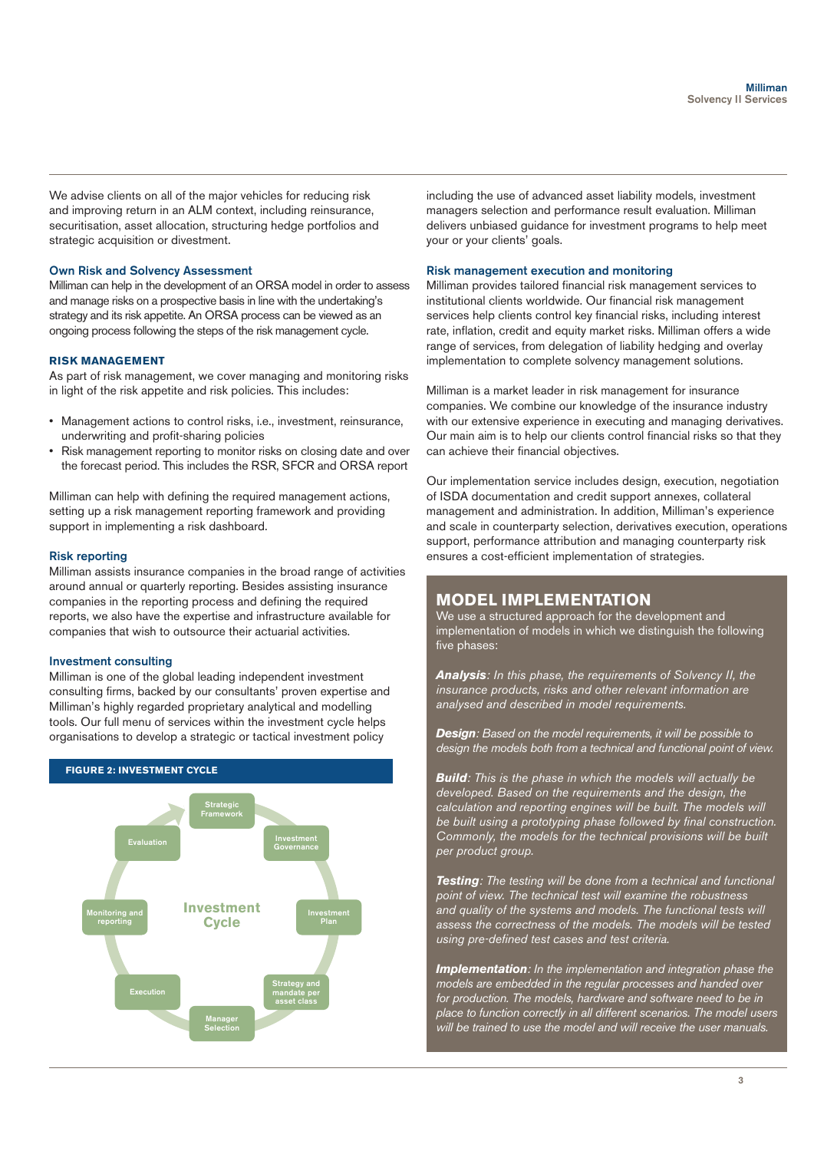We advise clients on all of the major vehicles for reducing risk and improving return in an ALM context, including reinsurance, securitisation, asset allocation, structuring hedge portfolios and strategic acquisition or divestment.

#### Own Risk and Solvency Assessment

Milliman can help in the development of an ORSA model in order to assess and manage risks on a prospective basis in line with the undertaking's strategy and its risk appetite. An ORSA process can be viewed as an ongoing process following the steps of the risk management cycle.

#### **RISK MANAGEMENT**

As part of risk management, we cover managing and monitoring risks in light of the risk appetite and risk policies. This includes:

- • Management actions to control risks, i.e., investment, reinsurance, underwriting and profit-sharing policies
- Risk management reporting to monitor risks on closing date and over the forecast period. This includes the RSR, SFCR and ORSA report

Milliman can help with defining the required management actions, setting up a risk management reporting framework and providing support in implementing a risk dashboard.

#### Risk reporting

Milliman assists insurance companies in the broad range of activities around annual or quarterly reporting. Besides assisting insurance companies in the reporting process and defining the required reports, we also have the expertise and infrastructure available for companies that wish to outsource their actuarial activities.

#### Investment consulting

Milliman is one of the global leading independent investment consulting firms, backed by our consultants' proven expertise and Milliman's highly regarded proprietary analytical and modelling tools. Our full menu of services within the investment cycle helps organisations to develop a strategic or tactical investment policy



including the use of advanced asset liability models, investment managers selection and performance result evaluation. Milliman delivers unbiased guidance for investment programs to help meet your or your clients' goals.

#### Risk management execution and monitoring

Milliman provides tailored financial risk management services to institutional clients worldwide. Our financial risk management services help clients control key financial risks, including interest rate, inflation, credit and equity market risks. Milliman offers a wide range of services, from delegation of liability hedging and overlay implementation to complete solvency management solutions.

Milliman is a market leader in risk management for insurance companies. We combine our knowledge of the insurance industry with our extensive experience in executing and managing derivatives. Our main aim is to help our clients control financial risks so that they can achieve their financial objectives.

Our implementation service includes design, execution, negotiation of ISDA documentation and credit support annexes, collateral management and administration. In addition, Milliman's experience and scale in counterparty selection, derivatives execution, operations support, performance attribution and managing counterparty risk ensures a cost-efficient implementation of strategies.

# **MODEL IMPLEMENTATION**

We use a structured approach for the development and implementation of models in which we distinguish the following five phases:

*Analysis: In this phase, the requirements of Solvency II, the insurance products, risks and other relevant information are analysed and described in model requirements.*

*Design: Based on the model requirements, it will be possible to design the models both from a technical and functional point of view.*

*Build: This is the phase in which the models will actually be developed. Based on the requirements and the design, the calculation and reporting engines will be built. The models will be built using a prototyping phase followed by final construction. Commonly, the models for the technical provisions will be built per product group.*

*Testing: The testing will be done from a technical and functional point of view. The technical test will examine the robustness and quality of the systems and models. The functional tests will assess the correctness of the models. The models will be tested using pre-defined test cases and test criteria.*

*Implementation: In the implementation and integration phase the models are embedded in the regular processes and handed over for production. The models, hardware and software need to be in place to function correctly in all different scenarios. The model users will be trained to use the model and will receive the user manuals.*